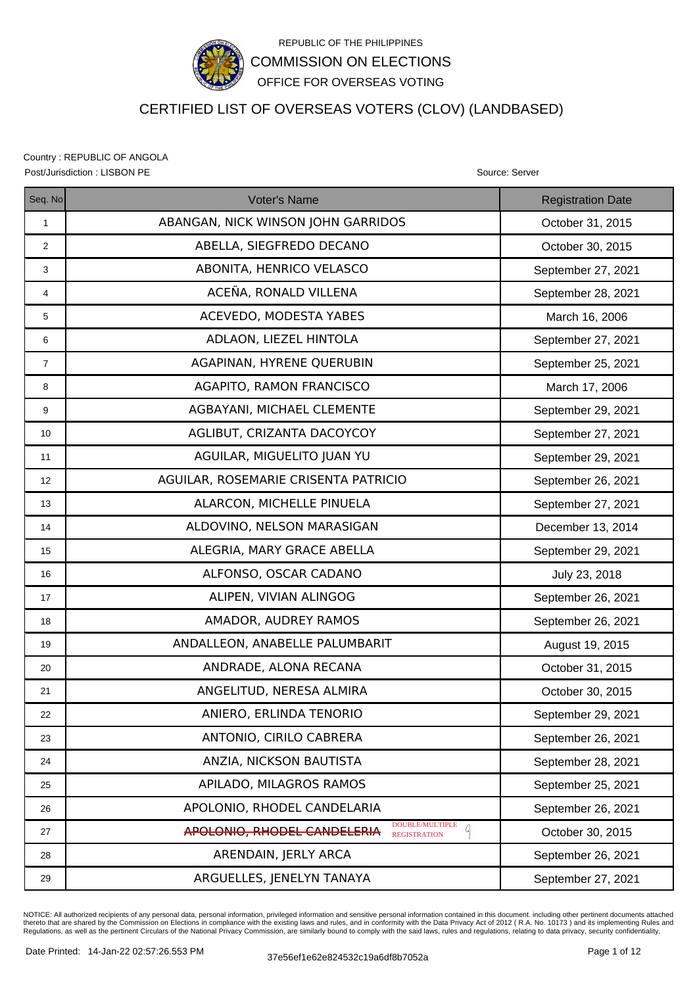

# CERTIFIED LIST OF OVERSEAS VOTERS (CLOV) (LANDBASED)

Country : REPUBLIC OF ANGOLA Post/Jurisdiction : LISBON PE Source: Server Source: Server Source: Server Source: Server

| Seq. No        | <b>Voter's Name</b>                                                        | <b>Registration Date</b> |
|----------------|----------------------------------------------------------------------------|--------------------------|
| $\mathbf{1}$   | ABANGAN, NICK WINSON JOHN GARRIDOS                                         | October 31, 2015         |
| $\overline{2}$ | ABELLA, SIEGFREDO DECANO                                                   | October 30, 2015         |
| 3              | ABONITA, HENRICO VELASCO                                                   | September 27, 2021       |
| 4              | ACEÑA, RONALD VILLENA                                                      | September 28, 2021       |
| 5              | ACEVEDO, MODESTA YABES                                                     | March 16, 2006           |
| 6              | ADLAON, LIEZEL HINTOLA                                                     | September 27, 2021       |
| $\overline{7}$ | AGAPINAN, HYRENE QUERUBIN                                                  | September 25, 2021       |
| 8              | <b>AGAPITO, RAMON FRANCISCO</b>                                            | March 17, 2006           |
| 9              | AGBAYANI, MICHAEL CLEMENTE                                                 | September 29, 2021       |
| 10             | AGLIBUT, CRIZANTA DACOYCOY                                                 | September 27, 2021       |
| 11             | AGUILAR, MIGUELITO JUAN YU                                                 | September 29, 2021       |
| 12             | AGUILAR, ROSEMARIE CRISENTA PATRICIO                                       | September 26, 2021       |
| 13             | ALARCON, MICHELLE PINUELA                                                  | September 27, 2021       |
| 14             | ALDOVINO, NELSON MARASIGAN                                                 | December 13, 2014        |
| 15             | ALEGRIA, MARY GRACE ABELLA                                                 | September 29, 2021       |
| 16             | ALFONSO, OSCAR CADANO                                                      | July 23, 2018            |
| 17             | ALIPEN, VIVIAN ALINGOG                                                     | September 26, 2021       |
| 18             | AMADOR, AUDREY RAMOS                                                       | September 26, 2021       |
| 19             | ANDALLEON, ANABELLE PALUMBARIT                                             | August 19, 2015          |
| 20             | ANDRADE, ALONA RECANA                                                      | October 31, 2015         |
| 21             | ANGELITUD, NERESA ALMIRA                                                   | October 30, 2015         |
| 22             | ANIERO, ERLINDA TENORIO                                                    | September 29, 2021       |
| 23             | ANTONIO, CIRILO CABRERA                                                    | September 26, 2021       |
| 24             | ANZIA, NICKSON BAUTISTA                                                    | September 28, 2021       |
| 25             | APILADO, MILAGROS RAMOS                                                    | September 25, 2021       |
| 26             | APOLONIO, RHODEL CANDELARIA                                                | September 26, 2021       |
| 27             | DOUBLE/MULTIPLE<br>A<br>APOLONIO, RHODEL CANDELERIA<br><b>REGISTRATION</b> | October 30, 2015         |
| 28             | ARENDAIN, JERLY ARCA                                                       | September 26, 2021       |
| 29             | ARGUELLES, JENELYN TANAYA                                                  | September 27, 2021       |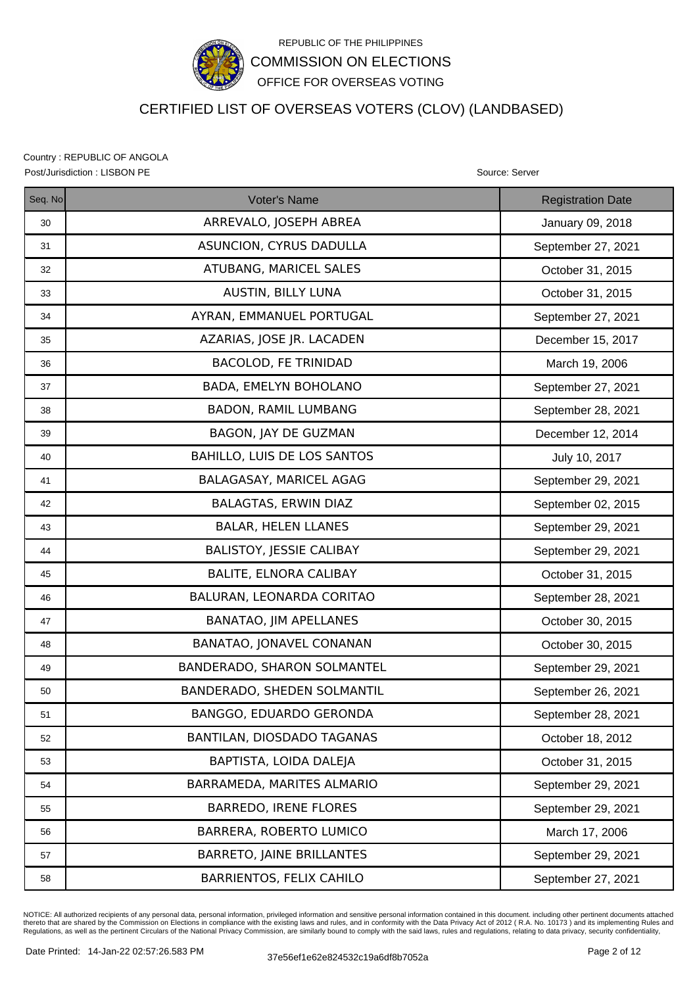

# CERTIFIED LIST OF OVERSEAS VOTERS (CLOV) (LANDBASED)

Country : REPUBLIC OF ANGOLA Post/Jurisdiction : LISBON PE Source: Server Source: Server Source: Server Source: Server

| Seq. No | <b>Voter's Name</b>                | <b>Registration Date</b> |
|---------|------------------------------------|--------------------------|
| 30      | ARREVALO, JOSEPH ABREA             | January 09, 2018         |
| 31      | ASUNCION, CYRUS DADULLA            | September 27, 2021       |
| 32      | ATUBANG, MARICEL SALES             | October 31, 2015         |
| 33      | AUSTIN, BILLY LUNA                 | October 31, 2015         |
| 34      | AYRAN, EMMANUEL PORTUGAL           | September 27, 2021       |
| 35      | AZARIAS, JOSE JR. LACADEN          | December 15, 2017        |
| 36      | <b>BACOLOD, FE TRINIDAD</b>        | March 19, 2006           |
| 37      | BADA, EMELYN BOHOLANO              | September 27, 2021       |
| 38      | <b>BADON, RAMIL LUMBANG</b>        | September 28, 2021       |
| 39      | BAGON, JAY DE GUZMAN               | December 12, 2014        |
| 40      | <b>BAHILLO, LUIS DE LOS SANTOS</b> | July 10, 2017            |
| 41      | BALAGASAY, MARICEL AGAG            | September 29, 2021       |
| 42      | <b>BALAGTAS, ERWIN DIAZ</b>        | September 02, 2015       |
| 43      | <b>BALAR, HELEN LLANES</b>         | September 29, 2021       |
| 44      | <b>BALISTOY, JESSIE CALIBAY</b>    | September 29, 2021       |
| 45      | <b>BALITE, ELNORA CALIBAY</b>      | October 31, 2015         |
| 46      | BALURAN, LEONARDA CORITAO          | September 28, 2021       |
| 47      | BANATAO, JIM APELLANES             | October 30, 2015         |
| 48      | BANATAO, JONAVEL CONANAN           | October 30, 2015         |
| 49      | BANDERADO, SHARON SOLMANTEL        | September 29, 2021       |
| 50      | BANDERADO, SHEDEN SOLMANTIL        | September 26, 2021       |
| 51      | BANGGO, EDUARDO GERONDA            | September 28, 2021       |
| 52      | BANTILAN, DIOSDADO TAGANAS         | October 18, 2012         |
| 53      | BAPTISTA, LOIDA DALEJA             | October 31, 2015         |
| 54      | BARRAMEDA, MARITES ALMARIO         | September 29, 2021       |
| 55      | <b>BARREDO, IRENE FLORES</b>       | September 29, 2021       |
| 56      | BARRERA, ROBERTO LUMICO            | March 17, 2006           |
| 57      | <b>BARRETO, JAINE BRILLANTES</b>   | September 29, 2021       |
| 58      | <b>BARRIENTOS, FELIX CAHILO</b>    | September 27, 2021       |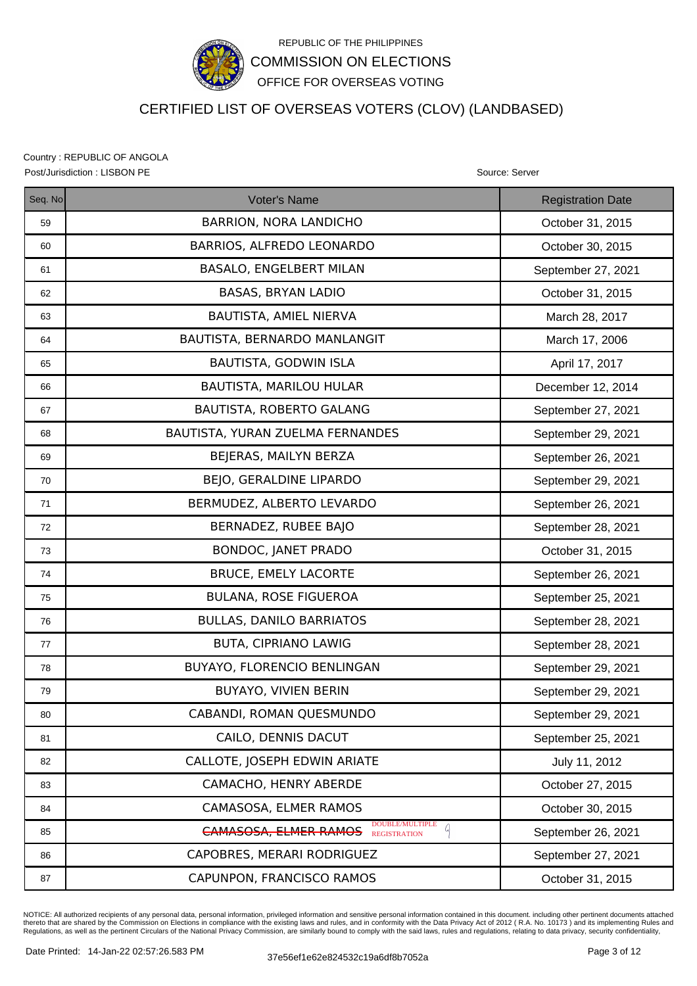

# CERTIFIED LIST OF OVERSEAS VOTERS (CLOV) (LANDBASED)

Country : REPUBLIC OF ANGOLA Post/Jurisdiction : LISBON PE Source: Server Source: Server Source: Server Source: Server

| Seq. No | <b>Voter's Name</b>                                          | <b>Registration Date</b> |
|---------|--------------------------------------------------------------|--------------------------|
| 59      | <b>BARRION, NORA LANDICHO</b>                                | October 31, 2015         |
| 60      | BARRIOS, ALFREDO LEONARDO                                    | October 30, 2015         |
| 61      | <b>BASALO, ENGELBERT MILAN</b>                               | September 27, 2021       |
| 62      | <b>BASAS, BRYAN LADIO</b>                                    | October 31, 2015         |
| 63      | BAUTISTA, AMIEL NIERVA                                       | March 28, 2017           |
| 64      | BAUTISTA, BERNARDO MANLANGIT                                 | March 17, 2006           |
| 65      | BAUTISTA, GODWIN ISLA                                        | April 17, 2017           |
| 66      | BAUTISTA, MARILOU HULAR                                      | December 12, 2014        |
| 67      | BAUTISTA, ROBERTO GALANG                                     | September 27, 2021       |
| 68      | BAUTISTA, YURAN ZUELMA FERNANDES                             | September 29, 2021       |
| 69      | BEJERAS, MAILYN BERZA                                        | September 26, 2021       |
| 70      | BEJO, GERALDINE LIPARDO                                      | September 29, 2021       |
| 71      | BERMUDEZ, ALBERTO LEVARDO                                    | September 26, 2021       |
| 72      | BERNADEZ, RUBEE BAJO                                         | September 28, 2021       |
| 73      | <b>BONDOC, JANET PRADO</b>                                   | October 31, 2015         |
| 74      | <b>BRUCE, EMELY LACORTE</b>                                  | September 26, 2021       |
| 75      | <b>BULANA, ROSE FIGUEROA</b>                                 | September 25, 2021       |
| 76      | <b>BULLAS, DANILO BARRIATOS</b>                              | September 28, 2021       |
| 77      | <b>BUTA, CIPRIANO LAWIG</b>                                  | September 28, 2021       |
| 78      | BUYAYO, FLORENCIO BENLINGAN                                  | September 29, 2021       |
| 79      | <b>BUYAYO, VIVIEN BERIN</b>                                  | September 29, 2021       |
| 80      | CABANDI, ROMAN QUESMUNDO                                     | September 29, 2021       |
| 81      | CAILO, DENNIS DACUT                                          | September 25, 2021       |
| 82      | CALLOTE, JOSEPH EDWIN ARIATE                                 | July 11, 2012            |
| 83      | CAMACHO, HENRY ABERDE                                        | October 27, 2015         |
| 84      | CAMASOSA, ELMER RAMOS                                        | October 30, 2015         |
| 85      | DOUBLE/MULTIPLE<br><b>CAMASOSA, ELMER RAMOS</b> REGISTRATION | September 26, 2021       |
| 86      | CAPOBRES, MERARI RODRIGUEZ                                   | September 27, 2021       |
| 87      | CAPUNPON, FRANCISCO RAMOS                                    | October 31, 2015         |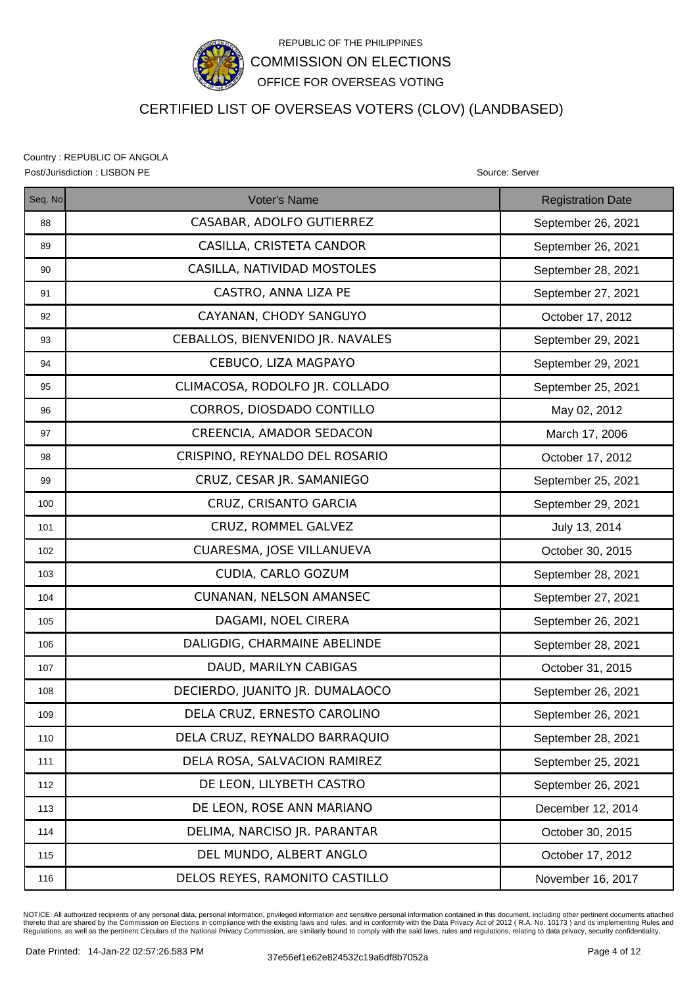

# CERTIFIED LIST OF OVERSEAS VOTERS (CLOV) (LANDBASED)

Country : REPUBLIC OF ANGOLA Post/Jurisdiction : LISBON PE **Source: Server** Source: Server Source: Server Source: Server

| Seq. No | <b>Voter's Name</b>              | <b>Registration Date</b> |
|---------|----------------------------------|--------------------------|
| 88      | CASABAR, ADOLFO GUTIERREZ        | September 26, 2021       |
| 89      | CASILLA, CRISTETA CANDOR         | September 26, 2021       |
| 90      | CASILLA, NATIVIDAD MOSTOLES      | September 28, 2021       |
| 91      | CASTRO, ANNA LIZA PE             | September 27, 2021       |
| 92      | CAYANAN, CHODY SANGUYO           | October 17, 2012         |
| 93      | CEBALLOS, BIENVENIDO JR. NAVALES | September 29, 2021       |
| 94      | CEBUCO, LIZA MAGPAYO             | September 29, 2021       |
| 95      | CLIMACOSA, RODOLFO JR. COLLADO   | September 25, 2021       |
| 96      | CORROS, DIOSDADO CONTILLO        | May 02, 2012             |
| 97      | CREENCIA, AMADOR SEDACON         | March 17, 2006           |
| 98      | CRISPINO, REYNALDO DEL ROSARIO   | October 17, 2012         |
| 99      | CRUZ, CESAR JR. SAMANIEGO        | September 25, 2021       |
| 100     | CRUZ, CRISANTO GARCIA            | September 29, 2021       |
| 101     | CRUZ, ROMMEL GALVEZ              | July 13, 2014            |
| 102     | CUARESMA, JOSE VILLANUEVA        | October 30, 2015         |
| 103     | CUDIA, CARLO GOZUM               | September 28, 2021       |
| 104     | <b>CUNANAN, NELSON AMANSEC</b>   | September 27, 2021       |
| 105     | DAGAMI, NOEL CIRERA              | September 26, 2021       |
| 106     | DALIGDIG, CHARMAINE ABELINDE     | September 28, 2021       |
| 107     | DAUD, MARILYN CABIGAS            | October 31, 2015         |
| 108     | DECIERDO, JUANITO JR. DUMALAOCO  | September 26, 2021       |
| 109     | DELA CRUZ, ERNESTO CAROLINO      | September 26, 2021       |
| 110     | DELA CRUZ, REYNALDO BARRAQUIO    | September 28, 2021       |
| 111     | DELA ROSA, SALVACION RAMIREZ     | September 25, 2021       |
| 112     | DE LEON, LILYBETH CASTRO         | September 26, 2021       |
| 113     | DE LEON, ROSE ANN MARIANO        | December 12, 2014        |
| 114     | DELIMA, NARCISO JR. PARANTAR     | October 30, 2015         |
| 115     | DEL MUNDO, ALBERT ANGLO          | October 17, 2012         |
| 116     | DELOS REYES, RAMONITO CASTILLO   | November 16, 2017        |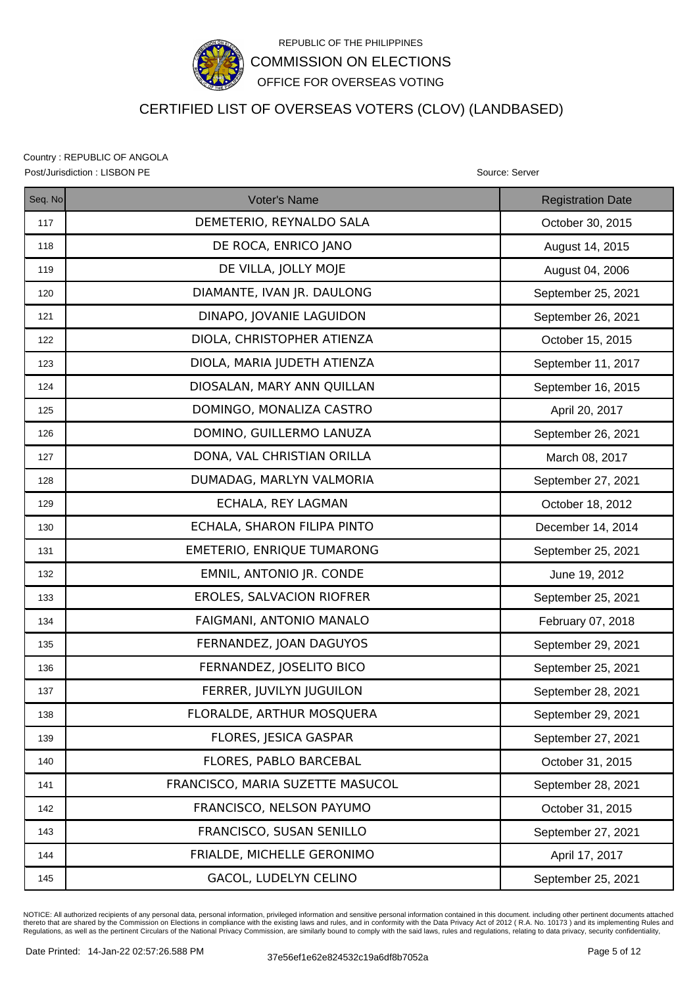

# CERTIFIED LIST OF OVERSEAS VOTERS (CLOV) (LANDBASED)

Country : REPUBLIC OF ANGOLA Post/Jurisdiction : LISBON PE Source: Server Source: Server Source: Server Source: Server

| Seq. No | <b>Voter's Name</b>              | <b>Registration Date</b> |
|---------|----------------------------------|--------------------------|
| 117     | DEMETERIO, REYNALDO SALA         | October 30, 2015         |
| 118     | DE ROCA, ENRICO JANO             | August 14, 2015          |
| 119     | DE VILLA, JOLLY MOJE             | August 04, 2006          |
| 120     | DIAMANTE, IVAN JR. DAULONG       | September 25, 2021       |
| 121     | DINAPO, JOVANIE LAGUIDON         | September 26, 2021       |
| 122     | DIOLA, CHRISTOPHER ATIENZA       | October 15, 2015         |
| 123     | DIOLA, MARIA JUDETH ATIENZA      | September 11, 2017       |
| 124     | DIOSALAN, MARY ANN QUILLAN       | September 16, 2015       |
| 125     | DOMINGO, MONALIZA CASTRO         | April 20, 2017           |
| 126     | DOMINO, GUILLERMO LANUZA         | September 26, 2021       |
| 127     | DONA, VAL CHRISTIAN ORILLA       | March 08, 2017           |
| 128     | DUMADAG, MARLYN VALMORIA         | September 27, 2021       |
| 129     | ECHALA, REY LAGMAN               | October 18, 2012         |
| 130     | ECHALA, SHARON FILIPA PINTO      | December 14, 2014        |
| 131     | EMETERIO, ENRIQUE TUMARONG       | September 25, 2021       |
| 132     | EMNIL, ANTONIO JR. CONDE         | June 19, 2012            |
| 133     | EROLES, SALVACION RIOFRER        | September 25, 2021       |
| 134     | FAIGMANI, ANTONIO MANALO         | February 07, 2018        |
| 135     | FERNANDEZ, JOAN DAGUYOS          | September 29, 2021       |
| 136     | FERNANDEZ, JOSELITO BICO         | September 25, 2021       |
| 137     | FERRER, JUVILYN JUGUILON         | September 28, 2021       |
| 138     | FLORALDE, ARTHUR MOSQUERA        | September 29, 2021       |
| 139     | FLORES, JESICA GASPAR            | September 27, 2021       |
| 140     | FLORES, PABLO BARCEBAL           | October 31, 2015         |
| 141     | FRANCISCO, MARIA SUZETTE MASUCOL | September 28, 2021       |
| 142     | FRANCISCO, NELSON PAYUMO         | October 31, 2015         |
| 143     | FRANCISCO, SUSAN SENILLO         | September 27, 2021       |
| 144     | FRIALDE, MICHELLE GERONIMO       | April 17, 2017           |
| 145     | GACOL, LUDELYN CELINO            | September 25, 2021       |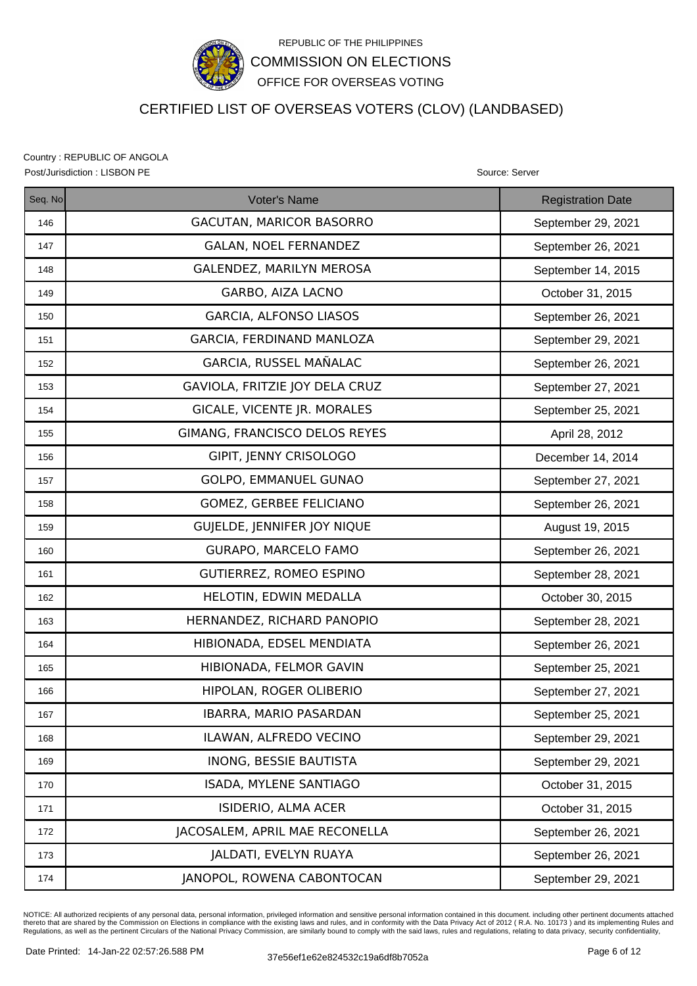

# CERTIFIED LIST OF OVERSEAS VOTERS (CLOV) (LANDBASED)

Country : REPUBLIC OF ANGOLA Post/Jurisdiction : LISBON PE Source: Server Source: Server Source: Server Source: Server

| Seq. No | Voter's Name                    | <b>Registration Date</b> |
|---------|---------------------------------|--------------------------|
| 146     | <b>GACUTAN, MARICOR BASORRO</b> | September 29, 2021       |
| 147     | <b>GALAN, NOEL FERNANDEZ</b>    | September 26, 2021       |
| 148     | GALENDEZ, MARILYN MEROSA        | September 14, 2015       |
| 149     | GARBO, AIZA LACNO               | October 31, 2015         |
| 150     | <b>GARCIA, ALFONSO LIASOS</b>   | September 26, 2021       |
| 151     | GARCIA, FERDINAND MANLOZA       | September 29, 2021       |
| 152     | GARCIA, RUSSEL MAÑALAC          | September 26, 2021       |
| 153     | GAVIOLA, FRITZIE JOY DELA CRUZ  | September 27, 2021       |
| 154     | GICALE, VICENTE JR. MORALES     | September 25, 2021       |
| 155     | GIMANG, FRANCISCO DELOS REYES   | April 28, 2012           |
| 156     | GIPIT, JENNY CRISOLOGO          | December 14, 2014        |
| 157     | GOLPO, EMMANUEL GUNAO           | September 27, 2021       |
| 158     | <b>GOMEZ, GERBEE FELICIANO</b>  | September 26, 2021       |
| 159     | GUJELDE, JENNIFER JOY NIQUE     | August 19, 2015          |
| 160     | GURAPO, MARCELO FAMO            | September 26, 2021       |
| 161     | GUTIERREZ, ROMEO ESPINO         | September 28, 2021       |
| 162     | HELOTIN, EDWIN MEDALLA          | October 30, 2015         |
| 163     | HERNANDEZ, RICHARD PANOPIO      | September 28, 2021       |
| 164     | HIBIONADA, EDSEL MENDIATA       | September 26, 2021       |
| 165     | HIBIONADA, FELMOR GAVIN         | September 25, 2021       |
| 166     | HIPOLAN, ROGER OLIBERIO         | September 27, 2021       |
| 167     | IBARRA, MARIO PASARDAN          | September 25, 2021       |
| 168     | ILAWAN, ALFREDO VECINO          | September 29, 2021       |
| 169     | <b>INONG, BESSIE BAUTISTA</b>   | September 29, 2021       |
| 170     | ISADA, MYLENE SANTIAGO          | October 31, 2015         |
| 171     | ISIDERIO, ALMA ACER             | October 31, 2015         |
| 172     | JACOSALEM, APRIL MAE RECONELLA  | September 26, 2021       |
| 173     | JALDATI, EVELYN RUAYA           | September 26, 2021       |
| 174     | JANOPOL, ROWENA CABONTOCAN      | September 29, 2021       |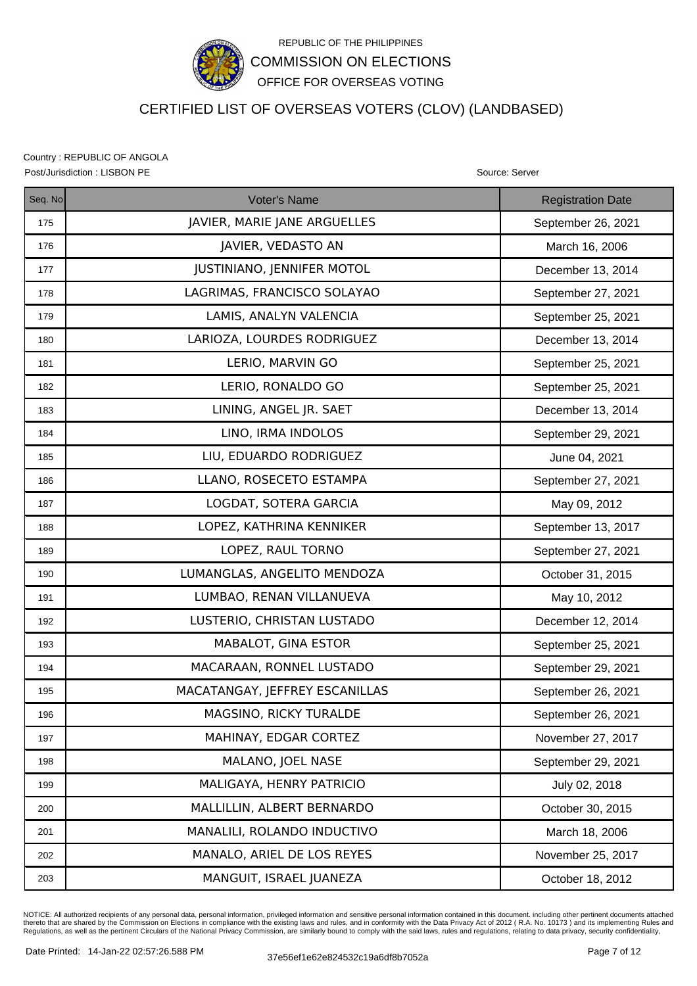

# CERTIFIED LIST OF OVERSEAS VOTERS (CLOV) (LANDBASED)

Country : REPUBLIC OF ANGOLA Post/Jurisdiction : LISBON PE **Source: Server** Source: Server Source: Server Source: Server

| Seq. No | Voter's Name                      | <b>Registration Date</b> |
|---------|-----------------------------------|--------------------------|
| 175     | JAVIER, MARIE JANE ARGUELLES      | September 26, 2021       |
| 176     | JAVIER, VEDASTO AN                | March 16, 2006           |
| 177     | <b>JUSTINIANO, JENNIFER MOTOL</b> | December 13, 2014        |
| 178     | LAGRIMAS, FRANCISCO SOLAYAO       | September 27, 2021       |
| 179     | LAMIS, ANALYN VALENCIA            | September 25, 2021       |
| 180     | LARIOZA, LOURDES RODRIGUEZ        | December 13, 2014        |
| 181     | LERIO, MARVIN GO                  | September 25, 2021       |
| 182     | LERIO, RONALDO GO                 | September 25, 2021       |
| 183     | LINING, ANGEL JR. SAET            | December 13, 2014        |
| 184     | LINO, IRMA INDOLOS                | September 29, 2021       |
| 185     | LIU, EDUARDO RODRIGUEZ            | June 04, 2021            |
| 186     | LLANO, ROSECETO ESTAMPA           | September 27, 2021       |
| 187     | LOGDAT, SOTERA GARCIA             | May 09, 2012             |
| 188     | LOPEZ, KATHRINA KENNIKER          | September 13, 2017       |
| 189     | LOPEZ, RAUL TORNO                 | September 27, 2021       |
| 190     | LUMANGLAS, ANGELITO MENDOZA       | October 31, 2015         |
| 191     | LUMBAO, RENAN VILLANUEVA          | May 10, 2012             |
| 192     | LUSTERIO, CHRISTAN LUSTADO        | December 12, 2014        |
| 193     | MABALOT, GINA ESTOR               | September 25, 2021       |
| 194     | MACARAAN, RONNEL LUSTADO          | September 29, 2021       |
| 195     | MACATANGAY, JEFFREY ESCANILLAS    | September 26, 2021       |
| 196     | MAGSINO, RICKY TURALDE            | September 26, 2021       |
| 197     | MAHINAY, EDGAR CORTEZ             | November 27, 2017        |
| 198     | MALANO, JOEL NASE                 | September 29, 2021       |
| 199     | MALIGAYA, HENRY PATRICIO          | July 02, 2018            |
| 200     | MALLILLIN, ALBERT BERNARDO        | October 30, 2015         |
| 201     | MANALILI, ROLANDO INDUCTIVO       | March 18, 2006           |
| 202     | MANALO, ARIEL DE LOS REYES        | November 25, 2017        |
| 203     | MANGUIT, ISRAEL JUANEZA           | October 18, 2012         |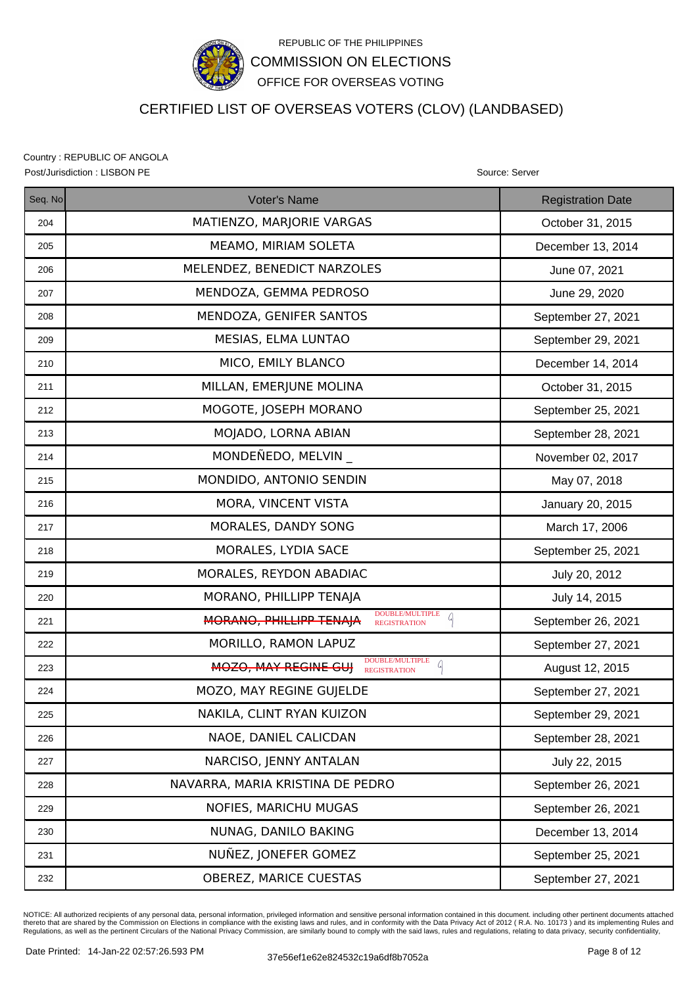

# CERTIFIED LIST OF OVERSEAS VOTERS (CLOV) (LANDBASED)

Country : REPUBLIC OF ANGOLA Post/Jurisdiction : LISBON PE Source: Server Source: Server Source: Server Source: Server

| Seq. No | Voter's Name                                                                              | <b>Registration Date</b> |
|---------|-------------------------------------------------------------------------------------------|--------------------------|
| 204     | MATIENZO, MARJORIE VARGAS                                                                 | October 31, 2015         |
| 205     | MEAMO, MIRIAM SOLETA                                                                      | December 13, 2014        |
| 206     | MELENDEZ, BENEDICT NARZOLES                                                               | June 07, 2021            |
| 207     | MENDOZA, GEMMA PEDROSO                                                                    | June 29, 2020            |
| 208     | MENDOZA, GENIFER SANTOS                                                                   | September 27, 2021       |
| 209     | MESIAS, ELMA LUNTAO                                                                       | September 29, 2021       |
| 210     | MICO, EMILY BLANCO                                                                        | December 14, 2014        |
| 211     | MILLAN, EMERJUNE MOLINA                                                                   | October 31, 2015         |
| 212     | MOGOTE, JOSEPH MORANO                                                                     | September 25, 2021       |
| 213     | MOJADO, LORNA ABIAN                                                                       | September 28, 2021       |
| 214     | MONDEÑEDO, MELVIN                                                                         | November 02, 2017        |
| 215     | MONDIDO, ANTONIO SENDIN                                                                   | May 07, 2018             |
| 216     | MORA, VINCENT VISTA                                                                       | January 20, 2015         |
| 217     | MORALES, DANDY SONG                                                                       | March 17, 2006           |
| 218     | MORALES, LYDIA SACE                                                                       | September 25, 2021       |
| 219     | MORALES, REYDON ABADIAC                                                                   | July 20, 2012            |
| 220     | MORANO, PHILLIPP TENAJA                                                                   | July 14, 2015            |
| 221     | <b>DOUBLE/MULTIPLE</b><br>$\mathcal{L}$<br>MORANO, PHILLIPP TENAJA<br><b>REGISTRATION</b> | September 26, 2021       |
| 222     | MORILLO, RAMON LAPUZ                                                                      | September 27, 2021       |
| 223     | DOUBLE/MULTIPLE<br>a<br>MOZO, MAY REGINE GUI<br><b>REGISTRATION</b>                       | August 12, 2015          |
| 224     | MOZO, MAY REGINE GUJELDE                                                                  | September 27, 2021       |
| 225     | NAKILA, CLINT RYAN KUIZON                                                                 | September 29, 2021       |
| 226     | NAOE, DANIEL CALICDAN                                                                     | September 28, 2021       |
| 227     | NARCISO, JENNY ANTALAN                                                                    | July 22, 2015            |
| 228     | NAVARRA, MARIA KRISTINA DE PEDRO                                                          | September 26, 2021       |
| 229     | NOFIES, MARICHU MUGAS                                                                     | September 26, 2021       |
| 230     | NUNAG, DANILO BAKING                                                                      | December 13, 2014        |
| 231     | NUÑEZ, JONEFER GOMEZ                                                                      | September 25, 2021       |
| 232     | OBEREZ, MARICE CUESTAS                                                                    | September 27, 2021       |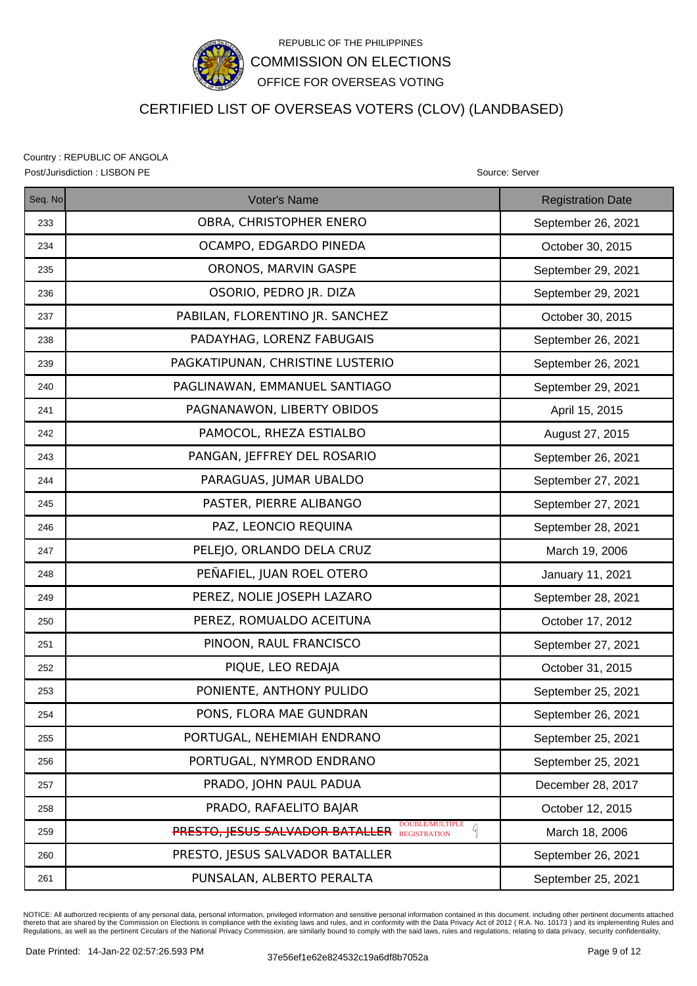

# CERTIFIED LIST OF OVERSEAS VOTERS (CLOV) (LANDBASED)

Country : REPUBLIC OF ANGOLA Post/Jurisdiction : LISBON PE Source: Server Source: Server Source: Server Source: Server

| Seq. No | <b>Voter's Name</b>                                                         | <b>Registration Date</b> |
|---------|-----------------------------------------------------------------------------|--------------------------|
| 233     | OBRA, CHRISTOPHER ENERO                                                     | September 26, 2021       |
| 234     | OCAMPO, EDGARDO PINEDA                                                      | October 30, 2015         |
| 235     | ORONOS, MARVIN GASPE                                                        | September 29, 2021       |
| 236     | OSORIO, PEDRO JR. DIZA                                                      | September 29, 2021       |
| 237     | PABILAN, FLORENTINO JR. SANCHEZ                                             | October 30, 2015         |
| 238     | PADAYHAG, LORENZ FABUGAIS                                                   | September 26, 2021       |
| 239     | PAGKATIPUNAN, CHRISTINE LUSTERIO                                            | September 26, 2021       |
| 240     | PAGLINAWAN, EMMANUEL SANTIAGO                                               | September 29, 2021       |
| 241     | PAGNANAWON, LIBERTY OBIDOS                                                  | April 15, 2015           |
| 242     | PAMOCOL, RHEZA ESTIALBO                                                     | August 27, 2015          |
| 243     | PANGAN, JEFFREY DEL ROSARIO                                                 | September 26, 2021       |
| 244     | PARAGUAS, JUMAR UBALDO                                                      | September 27, 2021       |
| 245     | PASTER, PIERRE ALIBANGO                                                     | September 27, 2021       |
| 246     | PAZ, LEONCIO REQUINA                                                        | September 28, 2021       |
| 247     | PELEJO, ORLANDO DELA CRUZ                                                   | March 19, 2006           |
| 248     | PEÑAFIEL, JUAN ROEL OTERO                                                   | January 11, 2021         |
| 249     | PEREZ, NOLIE JOSEPH LAZARO                                                  | September 28, 2021       |
| 250     | PEREZ, ROMUALDO ACEITUNA                                                    | October 17, 2012         |
| 251     | PINOON, RAUL FRANCISCO                                                      | September 27, 2021       |
| 252     | PIQUE, LEO REDAJA                                                           | October 31, 2015         |
| 253     | PONIENTE, ANTHONY PULIDO                                                    | September 25, 2021       |
| 254     | PONS, FLORA MAE GUNDRAN                                                     | September 26, 2021       |
| 255     | PORTUGAL, NEHEMIAH ENDRANO                                                  | September 25, 2021       |
| 256     | PORTUGAL, NYMROD ENDRANO                                                    | September 25, 2021       |
| 257     | PRADO, JOHN PAUL PADUA                                                      | December 28, 2017        |
| 258     | PRADO, RAFAELITO BAJAR                                                      | October 12, 2015         |
| 259     | DOUBLE/MULTIPLE<br>Q<br><b>PRESTO, JESUS SALVADOR BATALLER</b> REGISTRATION | March 18, 2006           |
| 260     | PRESTO, JESUS SALVADOR BATALLER                                             | September 26, 2021       |
| 261     | PUNSALAN, ALBERTO PERALTA                                                   | September 25, 2021       |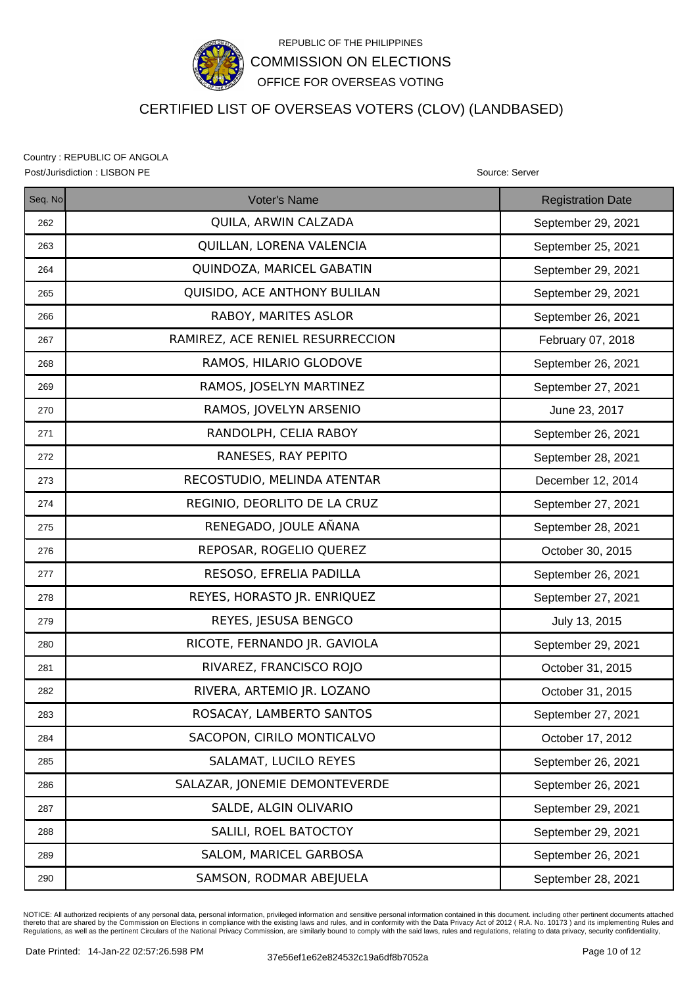

# CERTIFIED LIST OF OVERSEAS VOTERS (CLOV) (LANDBASED)

Country : REPUBLIC OF ANGOLA Post/Jurisdiction : LISBON PE **Source: Server** Source: Server Source: Server Source: Server

| Seq. No | Voter's Name                     | <b>Registration Date</b> |
|---------|----------------------------------|--------------------------|
| 262     | QUILA, ARWIN CALZADA             | September 29, 2021       |
| 263     | QUILLAN, LORENA VALENCIA         | September 25, 2021       |
| 264     | QUINDOZA, MARICEL GABATIN        | September 29, 2021       |
| 265     | QUISIDO, ACE ANTHONY BULILAN     | September 29, 2021       |
| 266     | RABOY, MARITES ASLOR             | September 26, 2021       |
| 267     | RAMIREZ, ACE RENIEL RESURRECCION | February 07, 2018        |
| 268     | RAMOS, HILARIO GLODOVE           | September 26, 2021       |
| 269     | RAMOS, JOSELYN MARTINEZ          | September 27, 2021       |
| 270     | RAMOS, JOVELYN ARSENIO           | June 23, 2017            |
| 271     | RANDOLPH, CELIA RABOY            | September 26, 2021       |
| 272     | RANESES, RAY PEPITO              | September 28, 2021       |
| 273     | RECOSTUDIO, MELINDA ATENTAR      | December 12, 2014        |
| 274     | REGINIO, DEORLITO DE LA CRUZ     | September 27, 2021       |
| 275     | RENEGADO, JOULE AÑANA            | September 28, 2021       |
| 276     | REPOSAR, ROGELIO QUEREZ          | October 30, 2015         |
| 277     | RESOSO, EFRELIA PADILLA          | September 26, 2021       |
| 278     | REYES, HORASTO JR. ENRIQUEZ      | September 27, 2021       |
| 279     | REYES, JESUSA BENGCO             | July 13, 2015            |
| 280     | RICOTE, FERNANDO JR. GAVIOLA     | September 29, 2021       |
| 281     | RIVAREZ, FRANCISCO ROJO          | October 31, 2015         |
| 282     | RIVERA, ARTEMIO JR. LOZANO       | October 31, 2015         |
| 283     | ROSACAY, LAMBERTO SANTOS         | September 27, 2021       |
| 284     | SACOPON, CIRILO MONTICALVO       | October 17, 2012         |
| 285     | SALAMAT, LUCILO REYES            | September 26, 2021       |
| 286     | SALAZAR, JONEMIE DEMONTEVERDE    | September 26, 2021       |
| 287     | SALDE, ALGIN OLIVARIO            | September 29, 2021       |
| 288     | SALILI, ROEL BATOCTOY            | September 29, 2021       |
| 289     | SALOM, MARICEL GARBOSA           | September 26, 2021       |
| 290     | SAMSON, RODMAR ABEJUELA          | September 28, 2021       |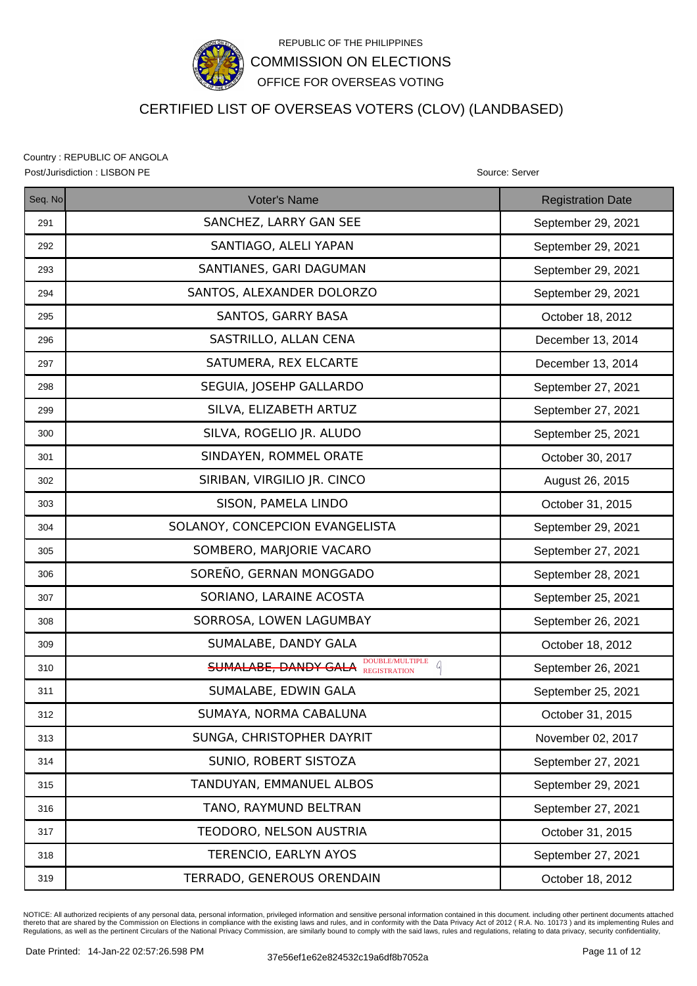

# CERTIFIED LIST OF OVERSEAS VOTERS (CLOV) (LANDBASED)

Country : REPUBLIC OF ANGOLA Post/Jurisdiction : LISBON PE Source: Server Source: Server Source: Server Source: Server

| Seq. No | <b>Voter's Name</b>                                              | <b>Registration Date</b> |
|---------|------------------------------------------------------------------|--------------------------|
| 291     | SANCHEZ, LARRY GAN SEE                                           | September 29, 2021       |
| 292     | SANTIAGO, ALELI YAPAN                                            | September 29, 2021       |
| 293     | SANTIANES, GARI DAGUMAN                                          | September 29, 2021       |
| 294     | SANTOS, ALEXANDER DOLORZO                                        | September 29, 2021       |
| 295     | SANTOS, GARRY BASA                                               | October 18, 2012         |
| 296     | SASTRILLO, ALLAN CENA                                            | December 13, 2014        |
| 297     | SATUMERA, REX ELCARTE                                            | December 13, 2014        |
| 298     | SEGUIA, JOSEHP GALLARDO                                          | September 27, 2021       |
| 299     | SILVA, ELIZABETH ARTUZ                                           | September 27, 2021       |
| 300     | SILVA, ROGELIO JR. ALUDO                                         | September 25, 2021       |
| 301     | SINDAYEN, ROMMEL ORATE                                           | October 30, 2017         |
| 302     | SIRIBAN, VIRGILIO JR. CINCO                                      | August 26, 2015          |
| 303     | SISON, PAMELA LINDO                                              | October 31, 2015         |
| 304     | SOLANOY, CONCEPCION EVANGELISTA                                  | September 29, 2021       |
| 305     | SOMBERO, MARJORIE VACARO                                         | September 27, 2021       |
| 306     | SOREÑO, GERNAN MONGGADO                                          | September 28, 2021       |
| 307     | SORIANO, LARAINE ACOSTA                                          | September 25, 2021       |
| 308     | SORROSA, LOWEN LAGUMBAY                                          | September 26, 2021       |
| 309     | SUMALABE, DANDY GALA                                             | October 18, 2012         |
| 310     | DOUBLE/MULTIPLE<br>a<br><b>SUMALABE, DANDY GALA REGISTRATION</b> | September 26, 2021       |
| 311     | SUMALABE, EDWIN GALA                                             | September 25, 2021       |
| 312     | SUMAYA, NORMA CABALUNA                                           | October 31, 2015         |
| 313     | SUNGA, CHRISTOPHER DAYRIT                                        | November 02, 2017        |
| 314     | SUNIO, ROBERT SISTOZA                                            | September 27, 2021       |
| 315     | TANDUYAN, EMMANUEL ALBOS                                         | September 29, 2021       |
| 316     | TANO, RAYMUND BELTRAN                                            | September 27, 2021       |
| 317     | TEODORO, NELSON AUSTRIA                                          | October 31, 2015         |
| 318     | TERENCIO, EARLYN AYOS                                            | September 27, 2021       |
| 319     | TERRADO, GENEROUS ORENDAIN                                       | October 18, 2012         |